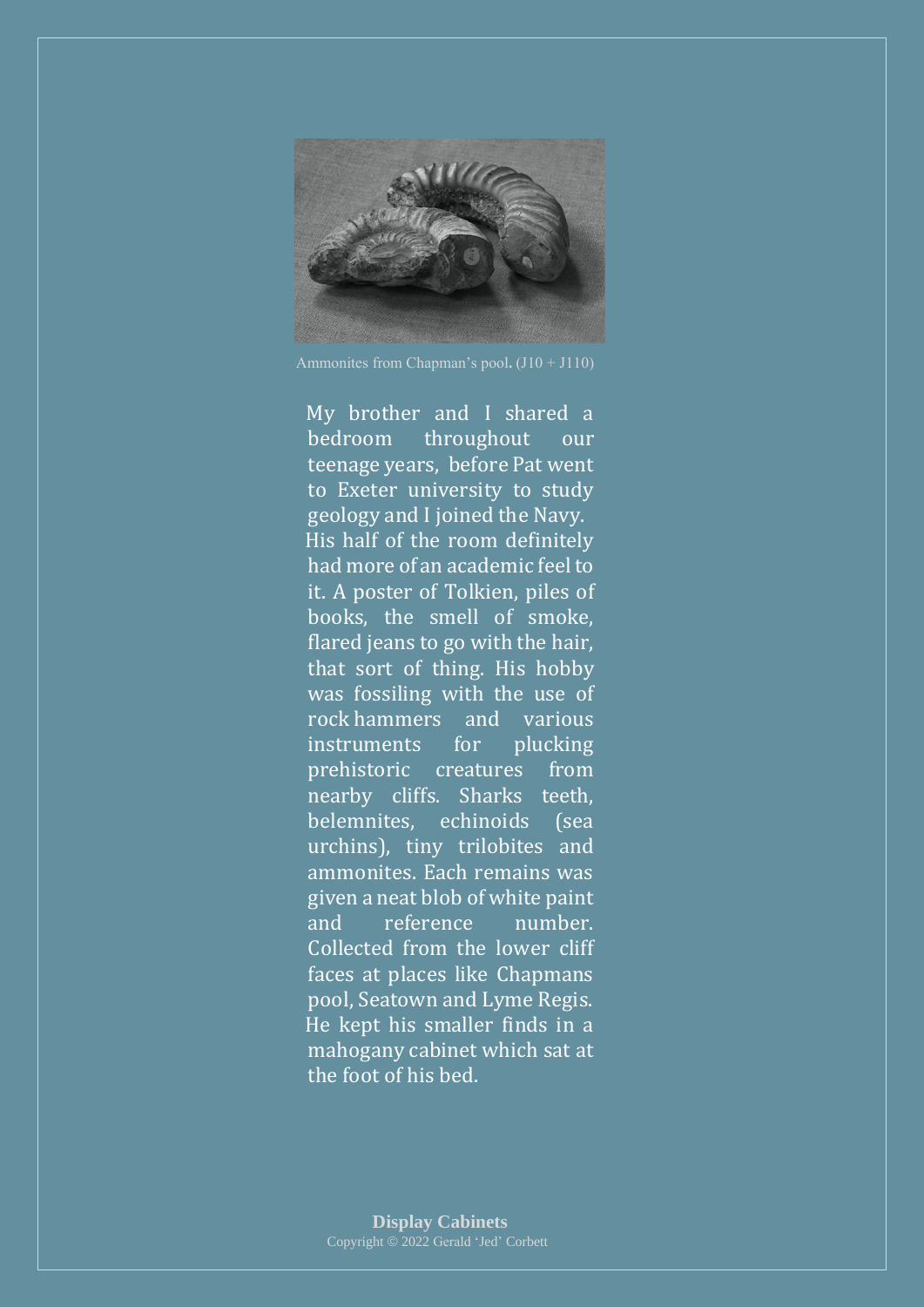

Ammonites from Chapman's pool**.** (J10 + J110)

 My brother and I shared a bedroom throughout our teenage years, before Pat went to Exeter university to study geology and I joined the Navy. His half of the room definitely had more of an academic feel to it. A poster of Tolkien, piles of books, the smell of smoke, flared jeans to go with the hair, that sort of thing. His hobby was fossiling with the use of rock hammers and various instruments for plucking prehistoric creatures from nearby cliffs. Sharks teeth, belemnites, echinoids (sea urchins), tiny trilobites and ammonites. Each remains was given a neat blob of white paint and reference number. Collected from the lower cliff faces at places like Chapmans pool, Seatown and Lyme Regis. He kept his smaller finds in a mahogany cabinet which sat at the foot of his bed.